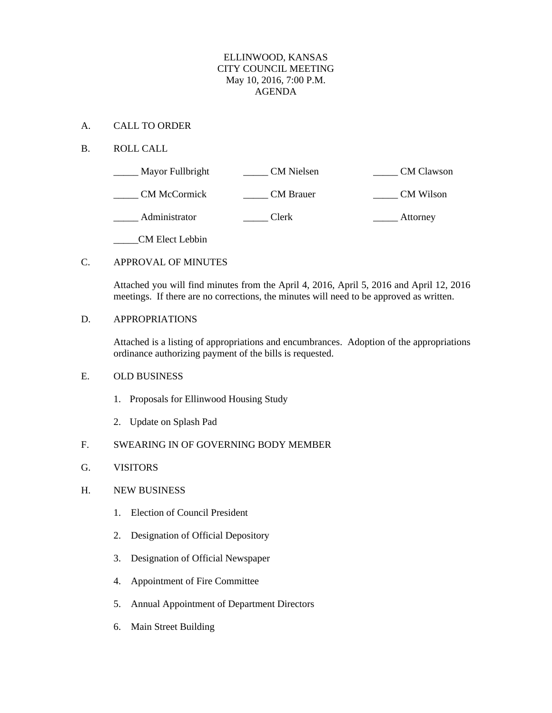#### ELLINWOOD, KANSAS CITY COUNCIL MEETING May 10, 2016, 7:00 P.M. AGENDA

#### A. CALL TO ORDER

### B. ROLL CALL

| Mayor Fullbright       | <b>CM</b> Nielsen | <b>CM</b> Clawson |
|------------------------|-------------------|-------------------|
| <b>CM McCormick</b>    | <b>CM</b> Brauer  | CM Wilson         |
| Administrator          | Clerk             | Attorney          |
| <b>CM Elect Lebbin</b> |                   |                   |

#### C. APPROVAL OF MINUTES

Attached you will find minutes from the April 4, 2016, April 5, 2016 and April 12, 2016 meetings. If there are no corrections, the minutes will need to be approved as written.

#### D. APPROPRIATIONS

Attached is a listing of appropriations and encumbrances. Adoption of the appropriations ordinance authorizing payment of the bills is requested.

### E. OLD BUSINESS

- 1. Proposals for Ellinwood Housing Study
- 2. Update on Splash Pad

#### F. SWEARING IN OF GOVERNING BODY MEMBER

### G. VISITORS

#### H. NEW BUSINESS

- 1. Election of Council President
- 2. Designation of Official Depository
- 3. Designation of Official Newspaper
- 4. Appointment of Fire Committee
- 5. Annual Appointment of Department Directors
- 6. Main Street Building